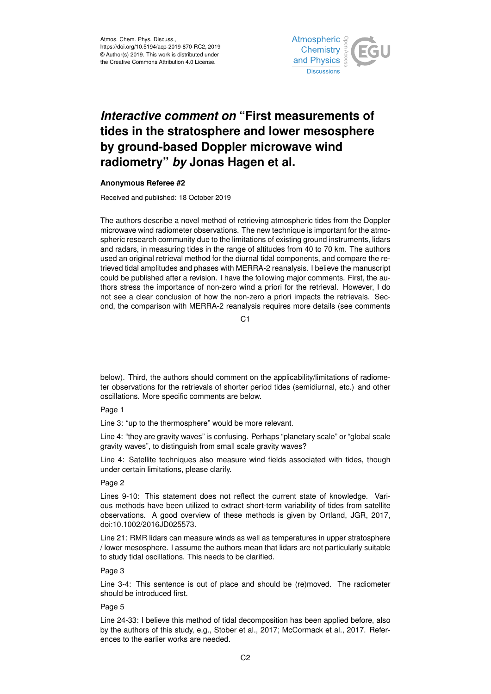

# *Interactive comment on* **"First measurements of tides in the stratosphere and lower mesosphere by ground-based Doppler microwave wind radiometry"** *by* **Jonas Hagen et al.**

#### **Anonymous Referee #2**

Received and published: 18 October 2019

The authors describe a novel method of retrieving atmospheric tides from the Doppler microwave wind radiometer observations. The new technique is important for the atmospheric research community due to the limitations of existing ground instruments, lidars and radars, in measuring tides in the range of altitudes from 40 to 70 km. The authors used an original retrieval method for the diurnal tidal components, and compare the retrieved tidal amplitudes and phases with MERRA-2 reanalysis. I believe the manuscript could be published after a revision. I have the following major comments. First, the authors stress the importance of non-zero wind a priori for the retrieval. However, I do not see a clear conclusion of how the non-zero a priori impacts the retrievals. Second, the comparison with MERRA-2 reanalysis requires more details (see comments

C<sub>1</sub>

below). Third, the authors should comment on the applicability/limitations of radiometer observations for the retrievals of shorter period tides (semidiurnal, etc.) and other oscillations. More specific comments are below.

# Page 1

Line 3: "up to the thermosphere" would be more relevant.

Line 4: "they are gravity waves" is confusing. Perhaps "planetary scale" or "global scale gravity waves", to distinguish from small scale gravity waves?

Line 4: Satellite techniques also measure wind fields associated with tides, though under certain limitations, please clarify.

## Page 2

Lines 9-10: This statement does not reflect the current state of knowledge. Various methods have been utilized to extract short-term variability of tides from satellite observations. A good overview of these methods is given by Ortland, JGR, 2017, doi:10.1002/2016JD025573.

Line 21: RMR lidars can measure winds as well as temperatures in upper stratosphere / lower mesosphere. I assume the authors mean that lidars are not particularly suitable to study tidal oscillations. This needs to be clarified.

## Page 3

Line 3-4: This sentence is out of place and should be (re)moved. The radiometer should be introduced first.

#### Page 5

Line 24-33: I believe this method of tidal decomposition has been applied before, also by the authors of this study, e.g., Stober et al., 2017; McCormack et al., 2017. References to the earlier works are needed.